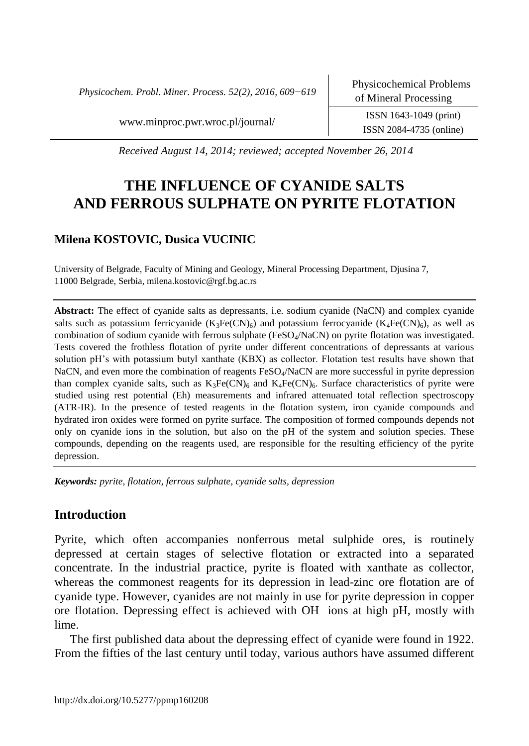*Physicochem. Probl. Miner. Process. 52(2), 2016, 609−619*

[www.minproc.pwr.wroc.pl/journal/](http://www.minproc.pwr.wroc.pl/journal/) ISSN 1643-1049 (print)

ISSN 2084-4735 (online)

*Received August 14, 2014; reviewed; accepted November 26, 2014*

# **THE INFLUENCE OF CYANIDE SALTS AND FERROUS SULPHATE ON PYRITE FLOTATION**

# **Milena KOSTOVIC, Dusica VUCINIC**

University of Belgrade, Faculty of Mining and Geology, Mineral Processing Department, Djusina 7, 11000 Belgrade, Serbia, milena.kostovic@rgf.bg.ac.rs

**Abstract:** The effect of cyanide salts as depressants, i.e. sodium cyanide (NaCN) and complex cyanide salts such as potassium ferricyanide  $(K_3Fe(CN)_6)$  and potassium ferrocyanide  $(K_4Fe(CN)_6)$ , as well as combination of sodium cyanide with ferrous sulphate (FeSO<sub>4</sub>/NaCN) on pyrite flotation was investigated. Tests covered the frothless flotation of pyrite under different concentrations of depressants at various solution pH's with potassium butyl xanthate (KBX) as collector. Flotation test results have shown that NaCN, and even more the combination of reagents FeSO<sub>4</sub>/NaCN are more successful in pyrite depression than complex cyanide salts, such as  $K_3Fe(CN)_6$  and  $K_4Fe(CN)_6$ . Surface characteristics of pyrite were studied using rest potential (Eh) measurements and infrared attenuated total reflection spectroscopy (ATR-IR). In the presence of tested reagents in the flotation system, iron cyanide compounds and hydrated iron oxides were formed on pyrite surface. The composition of formed compounds depends not only on cyanide ions in the solution, but also on the pH of the system and solution species. These compounds, depending on the reagents used, are responsible for the resulting efficiency of the pyrite depression.

*Keywords: pyrite, flotation, ferrous sulphate, cyanide salts, depression*

# **Introduction**

Pyrite, which often accompanies nonferrous metal sulphide ores, is routinely depressed at certain stages of selective flotation or extracted into a separated concentrate. In the industrial practice, pyrite is floated with xanthate as collector, whereas the commonest reagents for its depression in lead-zinc ore flotation are of cyanide type. However, cyanides are not mainly in use for pyrite depression in copper ore flotation. Depressing effect is achieved with OH– ions at high pH, mostly with lime.

The first published data about the depressing effect of cyanide were found in 1922. From the fifties of the last century until today, various authors have assumed different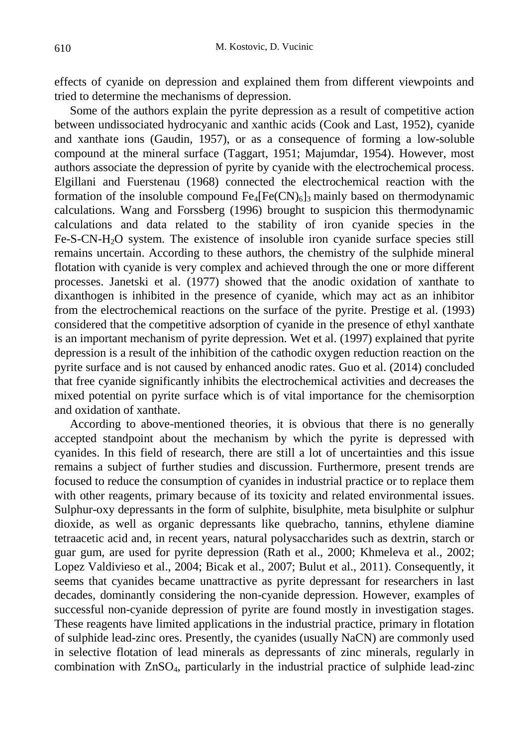effects of cyanide on depression and explained them from different viewpoints and tried to determine the mechanisms of depression.

Some of the authors explain the pyrite depression as a result of competitive action between undissociated hydrocyanic and xanthic acids (Cook and Last, 1952), cyanide and xanthate ions (Gaudin, 1957), or as a consequence of forming a low-soluble compound at the mineral surface (Taggart, 1951; Majumdar, 1954). However, most authors associate the depression of pyrite by cyanide with the electrochemical process. Elgillani and Fuerstenau (1968) connected the electrochemical reaction with the formation of the insoluble compound  $Fe_4[Fe(CN)_6]_3$  mainly based on thermodynamic calculations. Wang and Forssberg (1996) brought to suspicion this thermodynamic calculations and data related to the stability of iron cyanide species in the Fe-S-CN-H2O system. The existence of insoluble iron cyanide surface species still remains uncertain. According to these authors, the chemistry of the sulphide mineral flotation with cyanide is very complex and achieved through the one or more different processes. Janetski et al. (1977) showed that the anodic oxidation of xanthate to dixanthogen is inhibited in the presence of cyanide, which may act as an inhibitor from the electrochemical reactions on the surface of the pyrite. Prestige et al. (1993) considered that the competitive adsorption of cyanide in the presence of ethyl xanthate is an important mechanism of pyrite depression. Wet et al. (1997) explained that pyrite depression is a result of the inhibition of the cathodic oxygen reduction reaction on the pyrite surface and is not caused by enhanced anodic rates. Guo et al. (2014) concluded that free cyanide significantly inhibits the electrochemical activities and decreases the mixed potential on pyrite surface which is of vital importance for the chemisorption and oxidation of xanthate.

According to above-mentioned theories, it is obvious that there is no generally accepted standpoint about the mechanism by which the pyrite is depressed with cyanides. In this field of research, there are still a lot of uncertainties and this issue remains a subject of further studies and discussion. Furthermore, present trends are focused to reduce the consumption of cyanides in industrial practice or to replace them with other reagents, primary because of its toxicity and related environmental issues. Sulphur-oxy depressants in the form of sulphite, bisulphite, meta bisulphite or sulphur dioxide, as well as organic depressants like quebracho, tannins, ethylene diamine tetraacetic acid and, in recent years, natural polysaccharides such as dextrin, starch or guar gum, are used for pyrite depression (Rath et al., 2000; Khmeleva et al., 2002; Lopez Valdivieso et al., 2004; Bicak et al., 2007; Bulut et al., 2011). Consequently, it seems that cyanides became unattractive as pyrite depressant for researchers in last decades, dominantly considering the non-cyanide depression. However, examples of successful non-cyanide depression of pyrite are found mostly in investigation stages. These reagents have limited applications in the industrial practice, primary in flotation of sulphide lead-zinc ores. Presently, the cyanides (usually NaCN) are commonly used in selective flotation of lead minerals as depressants of zinc minerals, regularly in combination with ZnSO4, particularly in the industrial practice of sulphide lead-zinc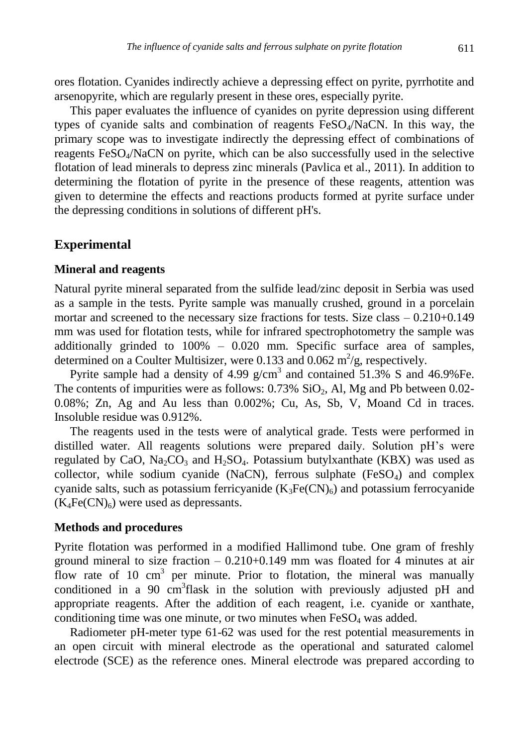ores flotation. Cyanides indirectly achieve a depressing effect on pyrite, pyrrhotite and arsenopyrite, which are regularly present in these ores, especially pyrite.

This paper evaluates the influence of cyanides on pyrite depression using different types of cyanide salts and combination of reagents FeSO4/NaCN. In this way, the primary scope was to investigate indirectly the depressing effect of combinations of reagents  $FeSO<sub>4</sub>/NaCN$  on pyrite, which can be also successfully used in the selective flotation of lead minerals to depress zinc minerals (Pavlica et al., 2011). In addition to determining the flotation of pyrite in the presence of these reagents, attention was given to determine the effects and reactions products formed at pyrite surface under the depressing conditions in solutions of different pH's.

### **Experimental**

#### **Mineral and reagents**

Natural pyrite mineral separated from the sulfide lead/zinc deposit in Serbia was used as a sample in the tests. Pyrite sample was manually crushed, ground in a porcelain mortar and screened to the necessary size fractions for tests. Size class – 0.210+0.149 mm was used for flotation tests, while for infrared spectrophotometry the sample was additionally grinded to 100% – 0.020 mm. Specific surface area of samples, determined on a Coulter Multisizer, were 0.133 and 0.062 m<sup>2</sup>/g, respectively.

Pyrite sample had a density of 4.99  $g/cm<sup>3</sup>$  and contained 51.3% S and 46.9% Fe. The contents of impurities were as follows:  $0.73\%$  SiO<sub>2</sub>, Al, Mg and Pb between 0.02-0.08%; Zn, Ag and Au less than 0.002%; Cu, As, Sb, V, Moand Cd in traces. Insoluble residue was 0.912%.

The reagents used in the tests were of analytical grade. Tests were performed in distilled water. All reagents solutions were prepared daily. Solution pH's were regulated by CaO,  $Na_2CO_3$  and  $H_2SO_4$ . Potassium butylxanthate (KBX) was used as collector, while sodium cyanide (NaCN), ferrous sulphate  $(FeSO<sub>4</sub>)$  and complex cyanide salts, such as potassium ferricyanide  $(K_3Fe(CN)<sub>6</sub>)$  and potassium ferrocyanide  $(K_4Fe(CN)_6)$  were used as depressants.

#### **Methods and procedures**

Pyrite flotation was performed in a modified Hallimond tube. One gram of freshly ground mineral to size fraction  $-0.210+0.149$  mm was floated for 4 minutes at air flow rate of 10  $\text{cm}^3$  per minute. Prior to flotation, the mineral was manually conditioned in a 90  $\text{cm}^3\text{flask}$  in the solution with previously adjusted pH and appropriate reagents. After the addition of each reagent, i.e. cyanide or xanthate, conditioning time was one minute, or two minutes when  $FeSO<sub>4</sub>$  was added.

Radiometer pH-meter type 61-62 was used for the rest potential measurements in an open circuit with mineral electrode as the operational and saturated calomel electrode (SCE) as the reference ones. Mineral electrode was prepared according to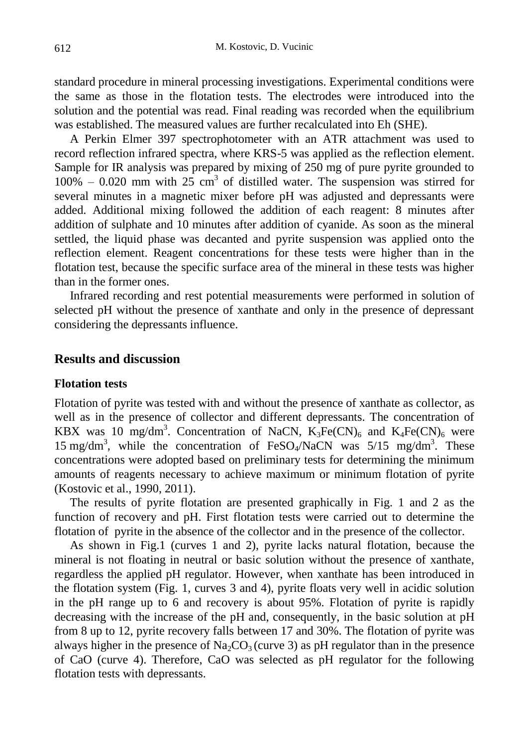standard procedure in mineral processing investigations. Experimental conditions were the same as those in the flotation tests. The electrodes were introduced into the solution and the potential was read. Final reading was recorded when the equilibrium was established. The measured values are further recalculated into Eh (SHE).

A Perkin Elmer 397 spectrophotometer with an ATR attachment was used to record reflection infrared spectra, where KRS-5 was applied as the reflection element. Sample for IR analysis was prepared by mixing of 250 mg of pure pyrite grounded to  $100\% - 0.020$  mm with 25 cm<sup>3</sup> of distilled water. The suspension was stirred for several minutes in a magnetic mixer before pH was adjusted and depressants were added. Additional mixing followed the addition of each reagent: 8 minutes after addition of sulphate and 10 minutes after addition of cyanide. As soon as the mineral settled, the liquid phase was decanted and pyrite suspension was applied onto the reflection element. Reagent concentrations for these tests were higher than in the flotation test, because the specific surface area of the mineral in these tests was higher than in the former ones.

Infrared recording and rest potential measurements were performed in solution of selected pH without the presence of xanthate and only in the presence of depressant considering the depressants influence.

# **Results and discussion**

#### **Flotation tests**

Flotation of pyrite was tested with and without the presence of xanthate as collector, as well as in the presence of collector and different depressants. The concentration of KBX was 10 mg/dm<sup>3</sup>. Concentration of NaCN,  $K_3Fe(CN)_6$  and  $K_4Fe(CN)_6$  were 15 mg/dm<sup>3</sup>, while the concentration of FeSO<sub>4</sub>/NaCN was  $5/15$  mg/dm<sup>3</sup>. These concentrations were adopted based on preliminary tests for determining the minimum amounts of reagents necessary to achieve maximum or minimum flotation of pyrite (Kostovic et al., 1990, 2011).

The results of pyrite flotation are presented graphically in Fig. 1 and 2 as the function of recovery and pH. First flotation tests were carried out to determine the flotation of pyrite in the absence of the collector and in the presence of the collector.

As shown in Fig.1 (curves 1 and 2), pyrite lacks natural flotation, because the mineral is not floating in neutral or basic solution without the presence of xanthate, regardless the applied pH regulator. However, when xanthate has been introduced in the flotation system (Fig. 1, curves 3 and 4), pyrite floats very well in acidic solution in the pH range up to 6 and recovery is about 95%. Flotation of pyrite is rapidly decreasing with the increase of the pH and, consequently, in the basic solution at pH from 8 up to 12, pyrite recovery falls between 17 and 30%. The flotation of pyrite was always higher in the presence of  $\text{Na}_2\text{CO}_3$  (curve 3) as pH regulator than in the presence of CaO (curve 4). Therefore, CaO was selected as pH regulator for the following flotation tests with depressants.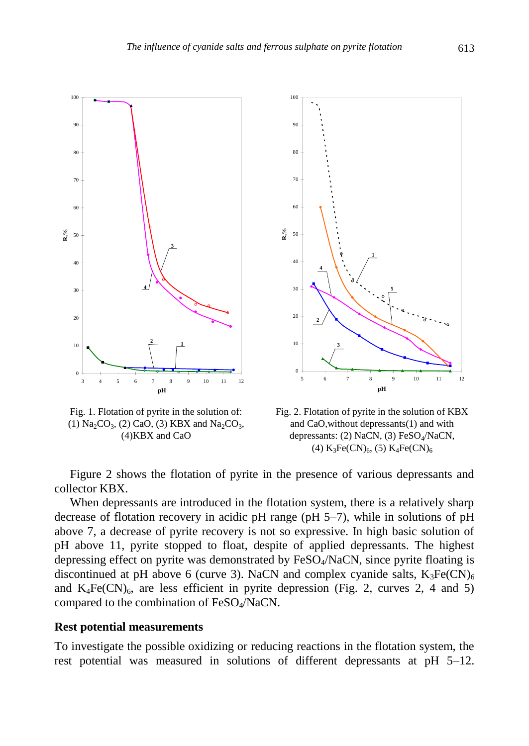

Fig. 1. Flotation of pyrite in the solution of: (1)  $Na_2CO_3$ , (2) CaO, (3) KBX and  $Na_2CO_3$ , (4)KBX and CaO



Fig. 2. Flotation of pyrite in the solution of KBX and CaO,without depressants(1) and with depressants: (2) NaCN, (3) FeSO<sub>4</sub>/NaCN, (4)  $K_3Fe(CN)_6$ , (5)  $K_4Fe(CN)_6$ 

Figure 2 shows the flotation of pyrite in the presence of various depressants and collector KBX.

When depressants are introduced in the flotation system, there is a relatively sharp decrease of flotation recovery in acidic pH range (pH 5–7), while in solutions of pH above 7, a decrease of pyrite recovery is not so expressive. In high basic solution of pH above 11, pyrite stopped to float, despite of applied depressants. The highest depressing effect on pyrite was demonstrated by FeSO<sub>4</sub>/NaCN, since pyrite floating is discontinued at pH above 6 (curve 3). NaCN and complex cyanide salts,  $K_3Fe(CN)_6$ and  $K_4Fe(CN)_6$ , are less efficient in pyrite depression (Fig. 2, curves 2, 4 and 5) compared to the combination of FeSO4/NaCN.

#### **Rest potential measurements**

To investigate the possible oxidizing or reducing reactions in the flotation system, the rest potential was measured in solutions of different depressants at pH 5–12.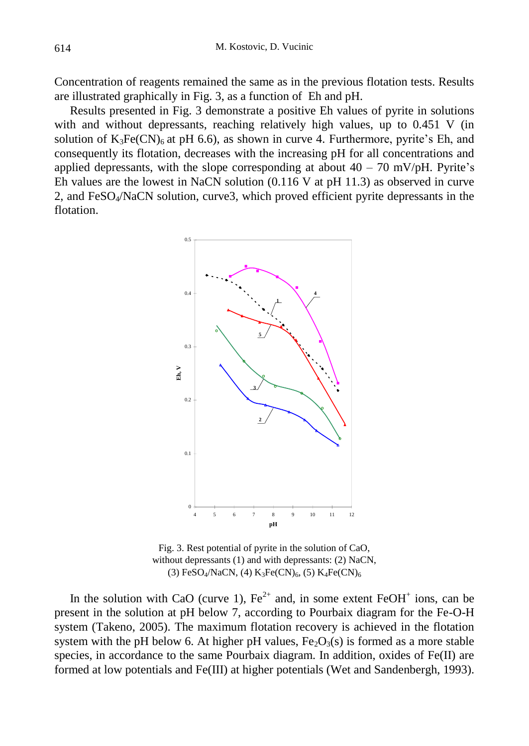Concentration of reagents remained the same as in the previous flotation tests. Results are illustrated graphically in Fig. 3, as a function of Eh and pH.

Results presented in Fig. 3 demonstrate a positive Eh values of pyrite in solutions with and without depressants, reaching relatively high values, up to 0.451 V (in solution of  $K_3Fe(CN)_6$  at pH 6.6), as shown in curve 4. Furthermore, pyrite's Eh, and consequently its flotation, decreases with the increasing pH for all concentrations and applied depressants, with the slope corresponding at about  $40 - 70$  mV/pH. Pyrite's Eh values are the lowest in NaCN solution (0.116 V at pH 11.3) as observed in curve 2, and FeSO4/NaCN solution, curve3, which proved efficient pyrite depressants in the flotation.



Fig. 3. Rest potential of pyrite in the solution of CaO, without depressants (1) and with depressants: (2) NaCN, (3)  $FeSO_4/NaCN$ , (4)  $K_3Fe(CN)_6$ , (5)  $K_4Fe(CN)_6$ 

In the solution with CaO (curve 1),  $\text{Fe}^{2+}$  and, in some extent  $\text{FeOH}^+$  ions, can be present in the solution at pH below 7, according to Pourbaix diagram for the Fe-O-H system (Takeno, 2005). The maximum flotation recovery is achieved in the flotation system with the pH below 6. At higher pH values,  $Fe<sub>2</sub>O<sub>3</sub>(s)$  is formed as a more stable species, in accordance to the same Pourbaix diagram. In addition, oxides of  $Fe(II)$  are formed at low potentials and Fe(III) at higher potentials (Wet and Sandenbergh, 1993).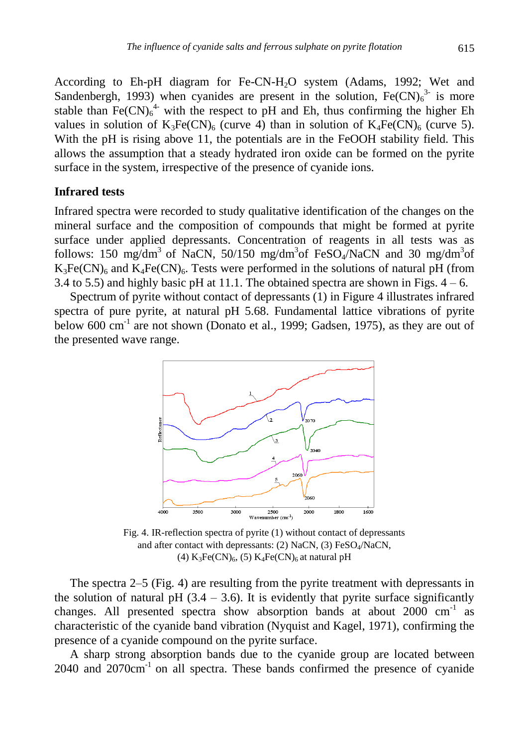According to Eh-pH diagram for Fe-CN-H2O system (Adams, 1992; Wet and Sandenbergh, 1993) when cyanides are present in the solution,  $Fe(CN)<sub>6</sub><sup>3</sup>$  is more stable than  $\text{Fe(CN)}_6^4$  with the respect to pH and Eh, thus confirming the higher Eh values in solution of  $K_3Fe(CN)_6$  (curve 4) than in solution of  $K_4Fe(CN)_6$  (curve 5). With the pH is rising above 11, the potentials are in the FeOOH stability field. This allows the assumption that a steady hydrated iron oxide can be formed on the pyrite surface in the system, irrespective of the presence of cyanide ions.

# **Infrared tests**

Infrared spectra were recorded to study qualitative identification of the changes on the mineral surface and the composition of compounds that might be formed at pyrite surface under applied depressants. Concentration of reagents in all tests was as follows: 150 mg/dm<sup>3</sup> of NaCN, 50/150 mg/dm<sup>3</sup>of FeSO<sub>4</sub>/NaCN and 30 mg/dm<sup>3</sup>of  $K_3Fe(CN)_6$  and  $K_4Fe(CN)_6$ . Tests were performed in the solutions of natural pH (from 3.4 to 5.5) and highly basic pH at 11.1. The obtained spectra are shown in Figs.  $4 - 6$ .

Spectrum of pyrite without contact of depressants (1) in Figure 4 illustrates infrared spectra of pure pyrite, at natural pH 5.68. Fundamental lattice vibrations of pyrite below 600 cm<sup>-1</sup> are not shown (Donato et al., 1999; Gadsen, 1975), as they are out of the presented wave range.



Fig. 4. IR-reflection spectra of pyrite (1) without contact of depressants and after contact with depressants: (2) NaCN, (3) FeSO<sub>4</sub>/NaCN, (4)  $K_3Fe(CN)_6$ , (5)  $K_4Fe(CN)_6$  at natural pH

The spectra 2–5 (Fig. 4) are resulting from the pyrite treatment with depressants in the solution of natural pH  $(3.4 - 3.6)$ . It is evidently that pyrite surface significantly changes. All presented spectra show absorption bands at about 2000 cm<sup>-1</sup> as characteristic of the cyanide band vibration (Nyquist and Kagel, 1971), confirming the presence of a cyanide compound on the pyrite surface.

A sharp strong absorption bands due to the cyanide group are located between 2040 and 2070cm-1 on all spectra. These bands confirmed the presence of cyanide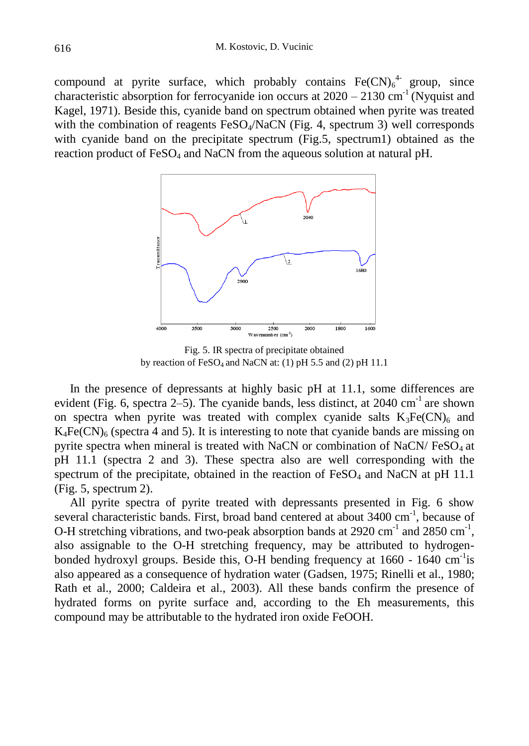compound at pyrite surface, which probably contains  $Fe(CN)_6^4$  group, since characteristic absorption for ferrocyanide ion occurs at  $2020 - 2130$  cm<sup>-1</sup> (Nyquist and Kagel, 1971). Beside this, cyanide band on spectrum obtained when pyrite was treated with the combination of reagents  $FeSO<sub>4</sub>/NaCN$  (Fig. 4, spectrum 3) well corresponds with cyanide band on the precipitate spectrum (Fig.5, spectrum1) obtained as the reaction product of  $FeSO<sub>4</sub>$  and NaCN from the aqueous solution at natural pH.



Fig. 5. IR spectra of precipitate obtained by reaction of  $FeSO_4$  and NaCN at: (1) pH 5.5 and (2) pH 11.1

In the presence of depressants at highly basic pH at 11.1, some differences are evident (Fig. 6, spectra 2–5). The cyanide bands, less distinct, at  $2040 \text{ cm}^{-1}$  are shown on spectra when pyrite was treated with complex cyanide salts  $K_3Fe(CN)_6$  and  $K_4Fe(CN)_6$  (spectra 4 and 5). It is interesting to note that cyanide bands are missing on pyrite spectra when mineral is treated with NaCN or combination of NaCN/ $FesO<sub>4</sub>$  at pH 11.1 (spectra 2 and 3). These spectra also are well corresponding with the spectrum of the precipitate, obtained in the reaction of  $FeSO<sub>4</sub>$  and NaCN at pH 11.1 (Fig. 5, spectrum 2).

All pyrite spectra of pyrite treated with depressants presented in Fig. 6 show several characteristic bands. First, broad band centered at about 3400 cm<sup>-1</sup>, because of O-H stretching vibrations, and two-peak absorption bands at 2920 cm<sup>-1</sup> and 2850 cm<sup>-1</sup>, also assignable to the O-H stretching frequency, may be attributed to hydrogenbonded hydroxyl groups. Beside this, O-H bending frequency at 1660 - 1640 cm<sup>-1</sup>is also appeared as a consequence of hydration water (Gadsen, 1975; Rinelli et al., 1980; Rath et al., 2000; Caldeira et al., 2003). All these bands confirm the presence of hydrated forms on pyrite surface and, according to the Eh measurements, this compound may be attributable to the hydrated iron oxide FeOOH.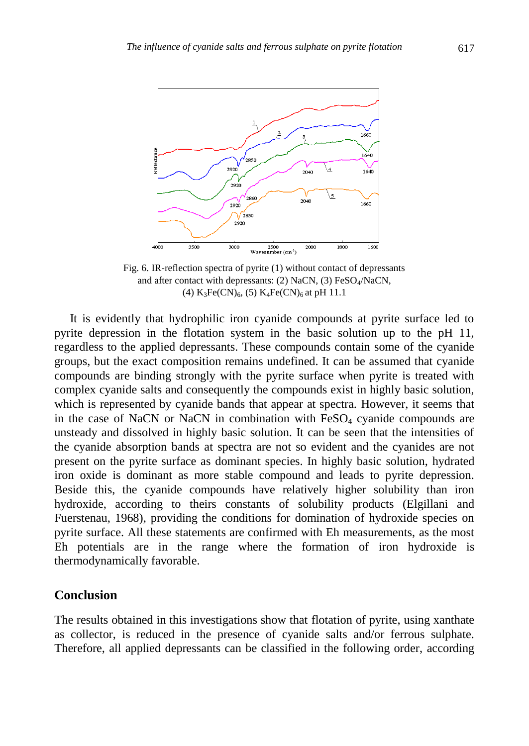

Fig. 6. IR-reflection spectra of pyrite (1) without contact of depressants and after contact with depressants: (2) NaCN, (3) FeSO<sub>4</sub>/NaCN, (4)  $K_3Fe(CN)_6$ , (5)  $K_4Fe(CN)_6$  at pH 11.1

It is evidently that hydrophilic iron cyanide compounds at pyrite surface led to pyrite depression in the flotation system in the basic solution up to the pH 11, regardless to the applied depressants. These compounds contain some of the cyanide groups, but the exact composition remains undefined. It can be assumed that cyanide compounds are binding strongly with the pyrite surface when pyrite is treated with complex cyanide salts and consequently the compounds exist in highly basic solution, which is represented by cyanide bands that appear at spectra. However, it seems that in the case of NaCN or NaCN in combination with  $FeSO<sub>4</sub>$  cyanide compounds are unsteady and dissolved in highly basic solution. It can be seen that the intensities of the cyanide absorption bands at spectra are not so evident and the cyanides are not present on the pyrite surface as dominant species. In highly basic solution, hydrated iron oxide is dominant as more stable compound and leads to pyrite depression. Beside this, the cyanide compounds have relatively higher solubility than iron hydroxide, according to theirs constants of solubility products (Elgillani and Fuerstenau, 1968), providing the conditions for domination of hydroxide species on pyrite surface. All these statements are confirmed with Eh measurements, as the most Eh potentials are in the range where the formation of iron hydroxide is thermodynamically favorable.

# **Conclusion**

The results obtained in this investigations show that flotation of pyrite, using xanthate as collector, is reduced in the presence of cyanide salts and/or ferrous sulphate. Therefore, all applied depressants can be classified in the following order, according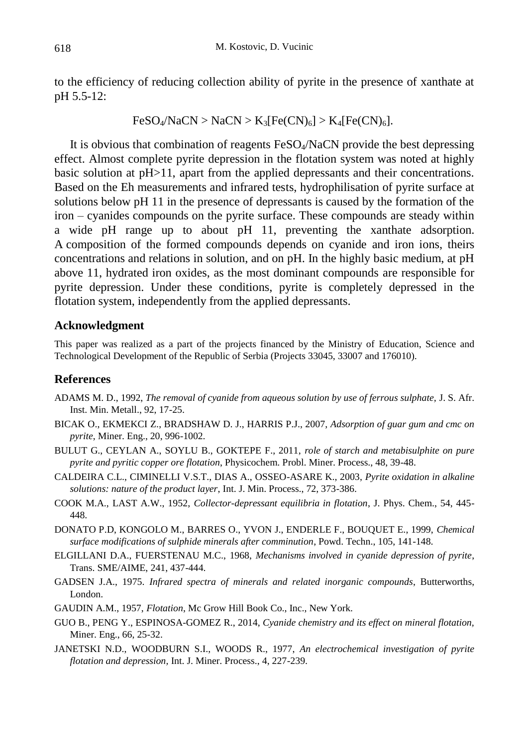to the efficiency of reducing collection ability of pyrite in the presence of xanthate at pH 5.5-12:

$$
FeSO4/NaCN > NaCN > K3[Fe(CN)6] > K4[Fe(CN)6].
$$

It is obvious that combination of reagents FeSO<sub>4</sub>/NaCN provide the best depressing effect. Almost complete pyrite depression in the flotation system was noted at highly basic solution at pH>11, apart from the applied depressants and their concentrations. Based on the Eh measurements and infrared tests, hydrophilisation of pyrite surface at solutions below pH 11 in the presence of depressants is caused by the formation of the iron – cyanides compounds on the pyrite surface. These compounds are steady within a wide pH range up to about pH 11, preventing the xanthate adsorption. A composition of the formed compounds depends on cyanide and iron ions, theirs concentrations and relations in solution, and on pH. In the highly basic medium, at pH above 11, hydrated iron oxides, as the most dominant compounds are responsible for pyrite depression. Under these conditions, pyrite is completely depressed in the flotation system, independently from the applied depressants.

#### **Acknowledgment**

This paper was realized as a part of the projects financed by the Ministry of Education, Science and Technological Development of the Republic of Serbia (Projects 33045, 33007 and 176010).

# **References**

- ADAMS M. D., 1992, *The removal of cyanide from aqueous solution by use of ferrous sulphate,* J. S. Afr. Inst. Min. Metall., 92, 17-25.
- BICAK O., EKMEKCI Z., BRADSHAW D. J., HARRIS P.J., 2007, *Adsorption of guar gum and cmc on pyrite*, Miner. Eng., 20, 996-1002.
- BULUT G., CEYLAN A., SOYLU B., GOKTEPE F., 2011, *role of starch and metabisulphite on pure pyrite and pyritic copper ore flotation*, Physicochem. Probl. Miner. Process., 48, 39-48.
- CALDEIRA C.L., CIMINELLI V.S.T., DIAS A., OSSEO-ASARE K., 2003, *Pyrite oxidation in alkaline solutions: nature of the product layer*, Int. J. Min. Process., 72, 373-386.
- COOK M.A., LAST A.W., 1952, *Collector-depressant equilibria in flotation*, J. Phys. Chem., 54, 445- 448.
- DONATO P.D, KONGOLO M., BARRES O., YVON J., ENDERLE F., BOUQUET E., 1999, *Chemical surface modifications of sulphide minerals after comminution*, Powd. Techn., 105, 141-148.
- ELGILLANI D.A., FUERSTENAU M.C., 1968, *Mechanisms involved in cyanide depression of pyrite*, Trans. SME/AIME, 241, 437-444.
- GADSEN J.A., 1975. *Infrared spectra of minerals and related inorganic compounds*, Butterworths, London.
- GAUDIN A.M., 1957, *Flotation*, Mc Grow Hill Book Co., Inc., New York.
- GUO B., PENG Y., ESPINOSA-GOMEZ R., 2014, *Cyanide chemistry and its effect on mineral flotation,* Miner. Eng., 66, 25-32.
- JANETSKI N.D., WOODBURN S.I., WOODS R., 1977, *An electrochemical investigation of pyrite flotation and depression,* Int. J. Miner. Process., 4, 227-239.